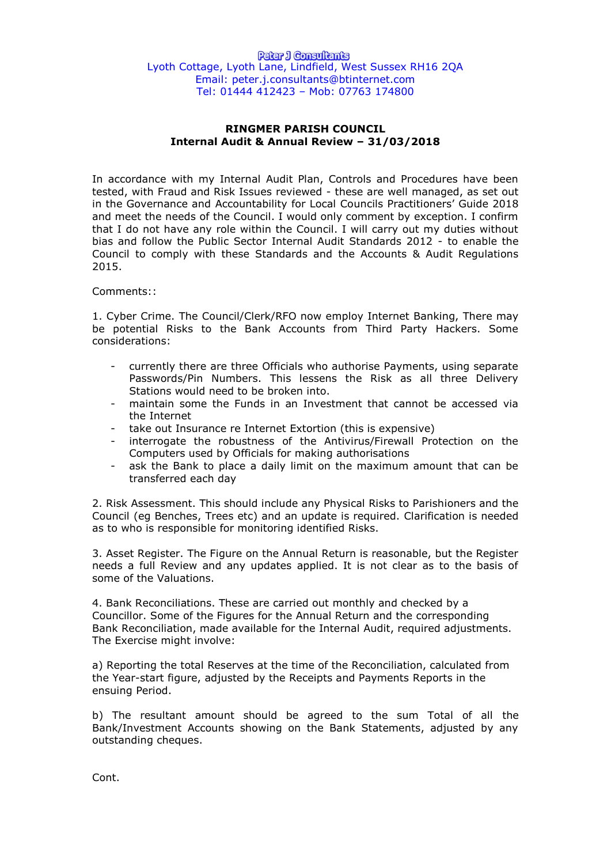## **RINGMER PARISH COUNCIL Internal Audit & Annual Review – 31/03/2018**

In accordance with my Internal Audit Plan, Controls and Procedures have been tested, with Fraud and Risk Issues reviewed - these are well managed, as set out in the Governance and Accountability for Local Councils Practitioners' Guide 2018 and meet the needs of the Council. I would only comment by exception. I confirm that I do not have any role within the Council. I will carry out my duties without bias and follow the Public Sector Internal Audit Standards 2012 - to enable the Council to comply with these Standards and the Accounts & Audit Regulations 2015.

Comments::

1. Cyber Crime. The Council/Clerk/RFO now employ Internet Banking, There may be potential Risks to the Bank Accounts from Third Party Hackers. Some considerations:

- currently there are three Officials who authorise Payments, using separate Passwords/Pin Numbers. This lessens the Risk as all three Delivery Stations would need to be broken into.
- maintain some the Funds in an Investment that cannot be accessed via the Internet
- take out Insurance re Internet Extortion (this is expensive)
- interrogate the robustness of the Antivirus/Firewall Protection on the Computers used by Officials for making authorisations
- ask the Bank to place a daily limit on the maximum amount that can be transferred each day

2. Risk Assessment. This should include any Physical Risks to Parishioners and the Council (eg Benches, Trees etc) and an update is required. Clarification is needed as to who is responsible for monitoring identified Risks.

3. Asset Register. The Figure on the Annual Return is reasonable, but the Register needs a full Review and any updates applied. It is not clear as to the basis of some of the Valuations.

4. Bank Reconciliations. These are carried out monthly and checked by a Councillor. Some of the Figures for the Annual Return and the corresponding Bank Reconciliation, made available for the Internal Audit, required adjustments. The Exercise might involve:

a) Reporting the total Reserves at the time of the Reconciliation, calculated from the Year-start figure, adjusted by the Receipts and Payments Reports in the ensuing Period.

b) The resultant amount should be agreed to the sum Total of all the Bank/Investment Accounts showing on the Bank Statements, adjusted by any outstanding cheques.

Cont.